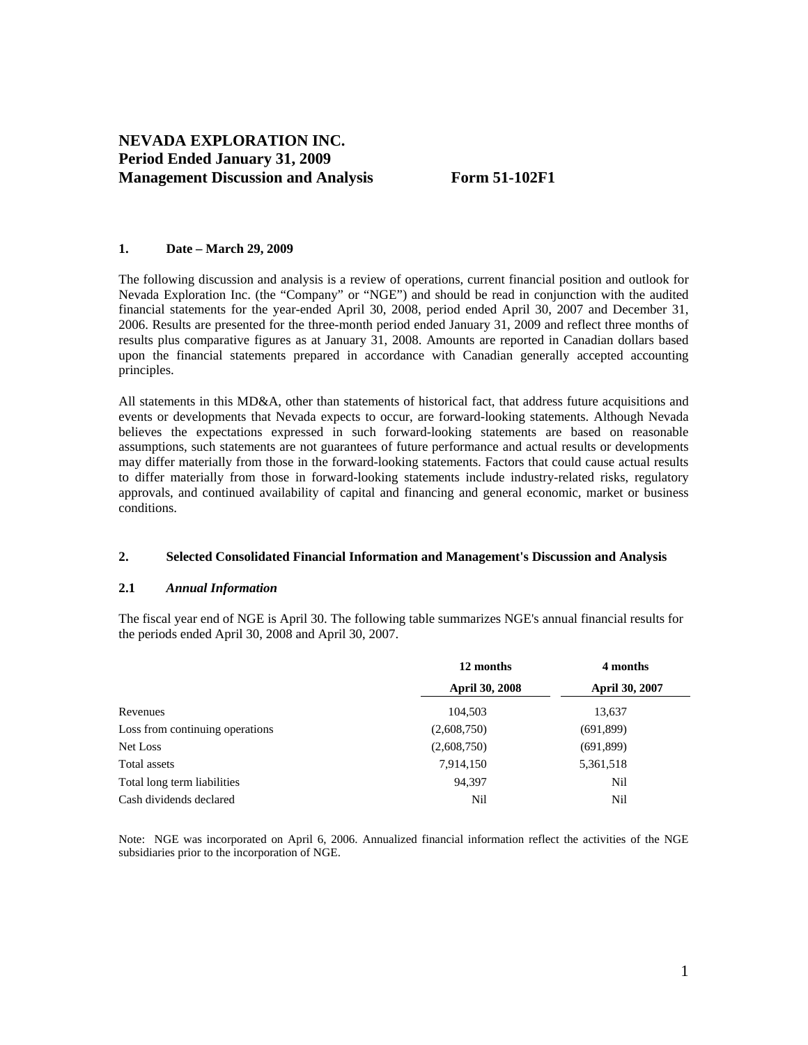# **NEVADA EXPLORATION INC. Period Ended January 31, 2009 Management Discussion and Analysis Form 51-102F1**

## **1. Date – March 29, 2009**

The following discussion and analysis is a review of operations, current financial position and outlook for Nevada Exploration Inc. (the "Company" or "NGE") and should be read in conjunction with the audited financial statements for the year-ended April 30, 2008, period ended April 30, 2007 and December 31, 2006. Results are presented for the three-month period ended January 31, 2009 and reflect three months of results plus comparative figures as at January 31, 2008. Amounts are reported in Canadian dollars based upon the financial statements prepared in accordance with Canadian generally accepted accounting principles.

All statements in this MD&A, other than statements of historical fact, that address future acquisitions and events or developments that Nevada expects to occur, are forward-looking statements. Although Nevada believes the expectations expressed in such forward-looking statements are based on reasonable assumptions, such statements are not guarantees of future performance and actual results or developments may differ materially from those in the forward-looking statements. Factors that could cause actual results to differ materially from those in forward-looking statements include industry-related risks, regulatory approvals, and continued availability of capital and financing and general economic, market or business conditions.

## **2. Selected Consolidated Financial Information and Management's Discussion and Analysis**

## **2.1** *Annual Information*

The fiscal year end of NGE is April 30. The following table summarizes NGE's annual financial results for the periods ended April 30, 2008 and April 30, 2007.

|                                 | 12 months             | 4 months       |  |
|---------------------------------|-----------------------|----------------|--|
|                                 | <b>April 30, 2008</b> | April 30, 2007 |  |
| Revenues                        | 104,503               | 13,637         |  |
| Loss from continuing operations | (2,608,750)           | (691,899)      |  |
| Net Loss                        | (2,608,750)           | (691,899)      |  |
| Total assets                    | 7,914,150             | 5,361,518      |  |
| Total long term liabilities     | 94,397                | Nil            |  |
| Cash dividends declared         | Nil                   | Nil            |  |

Note: NGE was incorporated on April 6, 2006. Annualized financial information reflect the activities of the NGE subsidiaries prior to the incorporation of NGE.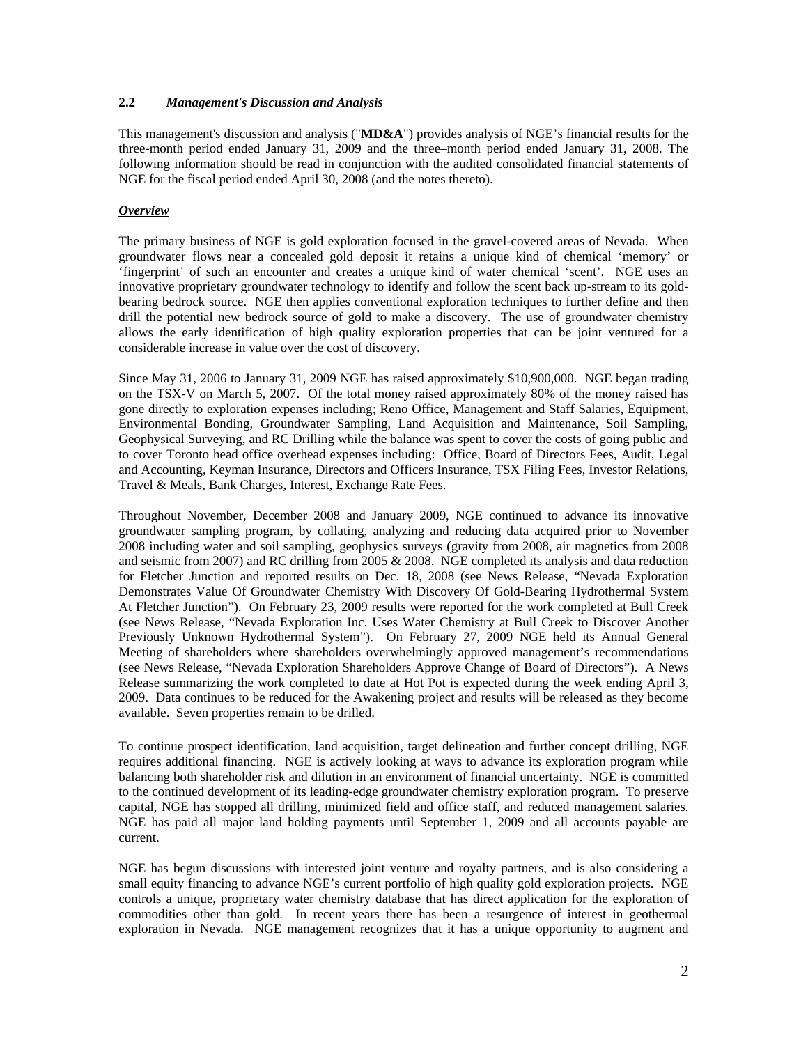## **2.2** *Management's Discussion and Analysis*

This management's discussion and analysis ("**MD&A**") provides analysis of NGE's financial results for the three-month period ended January 31, 2009 and the three–month period ended January 31, 2008. The following information should be read in conjunction with the audited consolidated financial statements of NGE for the fiscal period ended April 30, 2008 (and the notes thereto).

## *Overview*

The primary business of NGE is gold exploration focused in the gravel-covered areas of Nevada. When groundwater flows near a concealed gold deposit it retains a unique kind of chemical 'memory' or 'fingerprint' of such an encounter and creates a unique kind of water chemical 'scent'. NGE uses an innovative proprietary groundwater technology to identify and follow the scent back up-stream to its goldbearing bedrock source. NGE then applies conventional exploration techniques to further define and then drill the potential new bedrock source of gold to make a discovery. The use of groundwater chemistry allows the early identification of high quality exploration properties that can be joint ventured for a considerable increase in value over the cost of discovery.

Since May 31, 2006 to January 31, 2009 NGE has raised approximately \$10,900,000. NGE began trading on the TSX-V on March 5, 2007. Of the total money raised approximately 80% of the money raised has gone directly to exploration expenses including; Reno Office, Management and Staff Salaries, Equipment, Environmental Bonding, Groundwater Sampling, Land Acquisition and Maintenance, Soil Sampling, Geophysical Surveying, and RC Drilling while the balance was spent to cover the costs of going public and to cover Toronto head office overhead expenses including: Office, Board of Directors Fees, Audit, Legal and Accounting, Keyman Insurance, Directors and Officers Insurance, TSX Filing Fees, Investor Relations, Travel & Meals, Bank Charges, Interest, Exchange Rate Fees.

Throughout November, December 2008 and January 2009, NGE continued to advance its innovative groundwater sampling program, by collating, analyzing and reducing data acquired prior to November 2008 including water and soil sampling, geophysics surveys (gravity from 2008, air magnetics from 2008 and seismic from 2007) and RC drilling from 2005 & 2008. NGE completed its analysis and data reduction for Fletcher Junction and reported results on Dec. 18, 2008 (see News Release, "Nevada Exploration Demonstrates Value Of Groundwater Chemistry With Discovery Of Gold-Bearing Hydrothermal System At Fletcher Junction"). On February 23, 2009 results were reported for the work completed at Bull Creek (see News Release, "Nevada Exploration Inc. Uses Water Chemistry at Bull Creek to Discover Another Previously Unknown Hydrothermal System"). On February 27, 2009 NGE held its Annual General Meeting of shareholders where shareholders overwhelmingly approved management's recommendations (see News Release, "Nevada Exploration Shareholders Approve Change of Board of Directors"). A News Release summarizing the work completed to date at Hot Pot is expected during the week ending April 3, 2009. Data continues to be reduced for the Awakening project and results will be released as they become available. Seven properties remain to be drilled.

To continue prospect identification, land acquisition, target delineation and further concept drilling, NGE requires additional financing. NGE is actively looking at ways to advance its exploration program while balancing both shareholder risk and dilution in an environment of financial uncertainty. NGE is committed to the continued development of its leading-edge groundwater chemistry exploration program. To preserve capital, NGE has stopped all drilling, minimized field and office staff, and reduced management salaries. NGE has paid all major land holding payments until September 1, 2009 and all accounts payable are current.

NGE has begun discussions with interested joint venture and royalty partners, and is also considering a small equity financing to advance NGE's current portfolio of high quality gold exploration projects. NGE controls a unique, proprietary water chemistry database that has direct application for the exploration of commodities other than gold. In recent years there has been a resurgence of interest in geothermal exploration in Nevada. NGE management recognizes that it has a unique opportunity to augment and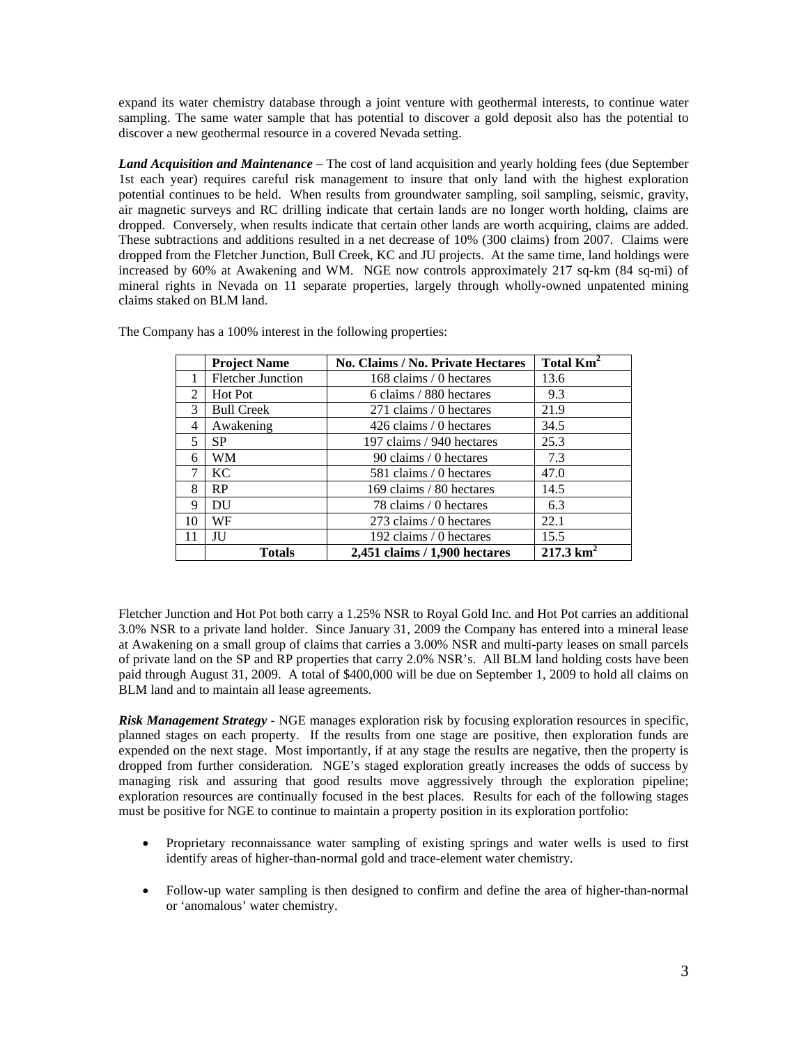expand its water chemistry database through a joint venture with geothermal interests, to continue water sampling. The same water sample that has potential to discover a gold deposit also has the potential to discover a new geothermal resource in a covered Nevada setting.

*Land Acquisition and Maintenance* – The cost of land acquisition and yearly holding fees (due September 1st each year) requires careful risk management to insure that only land with the highest exploration potential continues to be held. When results from groundwater sampling, soil sampling, seismic, gravity, air magnetic surveys and RC drilling indicate that certain lands are no longer worth holding, claims are dropped. Conversely, when results indicate that certain other lands are worth acquiring, claims are added. These subtractions and additions resulted in a net decrease of 10% (300 claims) from 2007. Claims were dropped from the Fletcher Junction, Bull Creek, KC and JU projects. At the same time, land holdings were increased by 60% at Awakening and WM. NGE now controls approximately 217 sq-km (84 sq-mi) of mineral rights in Nevada on 11 separate properties, largely through wholly-owned unpatented mining claims staked on BLM land.

|                | <b>Project Name</b>      | No. Claims / No. Private Hectares | Total Km <sup>2</sup> |
|----------------|--------------------------|-----------------------------------|-----------------------|
|                | <b>Fletcher Junction</b> | 168 claims / 0 hectares           | 13.6                  |
| $\mathfrak{D}$ | Hot Pot                  | 6 claims / 880 hectares           | 9.3                   |
| 3              | <b>Bull Creek</b>        | 271 claims / 0 hectares           | 21.9                  |
| 4              | Awakening                | 426 claims / 0 hectares           | 34.5                  |
| 5              | <b>SP</b>                | 197 claims / 940 hectares         | 25.3                  |
| 6              | WМ                       | 90 claims / 0 hectares            | 7.3                   |
| 7              | KC.                      | 581 claims / 0 hectares           | 47.0                  |
| 8              | <b>RP</b>                | 169 claims / 80 hectares          | 14.5                  |
| 9              | DU                       | 78 claims / 0 hectares            | 6.3                   |
| 10             | WF                       | 273 claims / 0 hectares           | 22.1                  |
| 11             | ЛU                       | 192 claims / 0 hectares           | 15.5                  |
|                | <b>Totals</b>            | 2,451 claims / 1,900 hectares     | $217.3 \text{ km}^2$  |

The Company has a 100% interest in the following properties:

Fletcher Junction and Hot Pot both carry a 1.25% NSR to Royal Gold Inc. and Hot Pot carries an additional 3.0% NSR to a private land holder. Since January 31, 2009 the Company has entered into a mineral lease at Awakening on a small group of claims that carries a 3.00% NSR and multi-party leases on small parcels of private land on the SP and RP properties that carry 2.0% NSR's. All BLM land holding costs have been paid through August 31, 2009. A total of \$400,000 will be due on September 1, 2009 to hold all claims on BLM land and to maintain all lease agreements.

*Risk Management Strategy* - NGE manages exploration risk by focusing exploration resources in specific, planned stages on each property. If the results from one stage are positive, then exploration funds are expended on the next stage. Most importantly, if at any stage the results are negative, then the property is dropped from further consideration. NGE's staged exploration greatly increases the odds of success by managing risk and assuring that good results move aggressively through the exploration pipeline; exploration resources are continually focused in the best places. Results for each of the following stages must be positive for NGE to continue to maintain a property position in its exploration portfolio:

- Proprietary reconnaissance water sampling of existing springs and water wells is used to first identify areas of higher-than-normal gold and trace-element water chemistry.
- Follow-up water sampling is then designed to confirm and define the area of higher-than-normal or 'anomalous' water chemistry.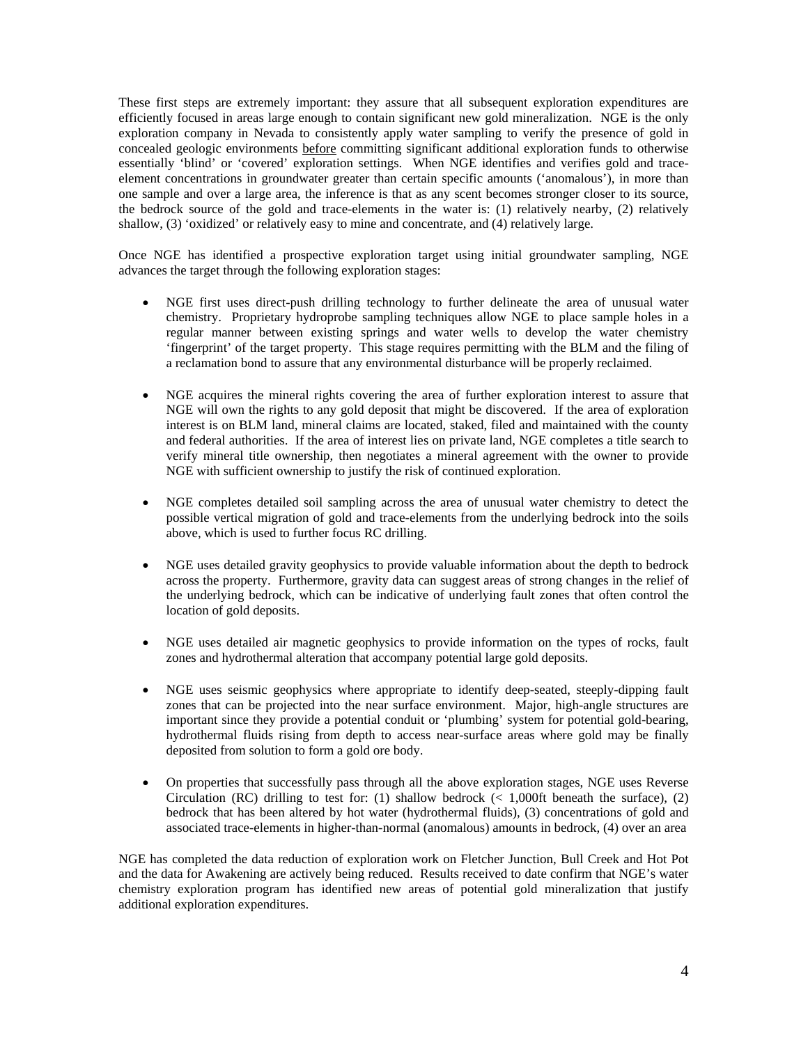These first steps are extremely important: they assure that all subsequent exploration expenditures are efficiently focused in areas large enough to contain significant new gold mineralization. NGE is the only exploration company in Nevada to consistently apply water sampling to verify the presence of gold in concealed geologic environments before committing significant additional exploration funds to otherwise essentially 'blind' or 'covered' exploration settings. When NGE identifies and verifies gold and traceelement concentrations in groundwater greater than certain specific amounts ('anomalous'), in more than one sample and over a large area, the inference is that as any scent becomes stronger closer to its source, the bedrock source of the gold and trace-elements in the water is: (1) relatively nearby, (2) relatively shallow, (3) 'oxidized' or relatively easy to mine and concentrate, and (4) relatively large.

Once NGE has identified a prospective exploration target using initial groundwater sampling, NGE advances the target through the following exploration stages:

- NGE first uses direct-push drilling technology to further delineate the area of unusual water chemistry. Proprietary hydroprobe sampling techniques allow NGE to place sample holes in a regular manner between existing springs and water wells to develop the water chemistry 'fingerprint' of the target property. This stage requires permitting with the BLM and the filing of a reclamation bond to assure that any environmental disturbance will be properly reclaimed.
- NGE acquires the mineral rights covering the area of further exploration interest to assure that NGE will own the rights to any gold deposit that might be discovered. If the area of exploration interest is on BLM land, mineral claims are located, staked, filed and maintained with the county and federal authorities. If the area of interest lies on private land, NGE completes a title search to verify mineral title ownership, then negotiates a mineral agreement with the owner to provide NGE with sufficient ownership to justify the risk of continued exploration.
- NGE completes detailed soil sampling across the area of unusual water chemistry to detect the possible vertical migration of gold and trace-elements from the underlying bedrock into the soils above, which is used to further focus RC drilling.
- NGE uses detailed gravity geophysics to provide valuable information about the depth to bedrock across the property. Furthermore, gravity data can suggest areas of strong changes in the relief of the underlying bedrock, which can be indicative of underlying fault zones that often control the location of gold deposits.
- NGE uses detailed air magnetic geophysics to provide information on the types of rocks, fault zones and hydrothermal alteration that accompany potential large gold deposits.
- NGE uses seismic geophysics where appropriate to identify deep-seated, steeply-dipping fault zones that can be projected into the near surface environment. Major, high-angle structures are important since they provide a potential conduit or 'plumbing' system for potential gold-bearing, hydrothermal fluids rising from depth to access near-surface areas where gold may be finally deposited from solution to form a gold ore body.
- On properties that successfully pass through all the above exploration stages, NGE uses Reverse Circulation (RC) drilling to test for: (1) shallow bedrock  $\ll 1,000$ ft beneath the surface), (2) bedrock that has been altered by hot water (hydrothermal fluids), (3) concentrations of gold and associated trace-elements in higher-than-normal (anomalous) amounts in bedrock, (4) over an area

NGE has completed the data reduction of exploration work on Fletcher Junction, Bull Creek and Hot Pot and the data for Awakening are actively being reduced. Results received to date confirm that NGE's water chemistry exploration program has identified new areas of potential gold mineralization that justify additional exploration expenditures.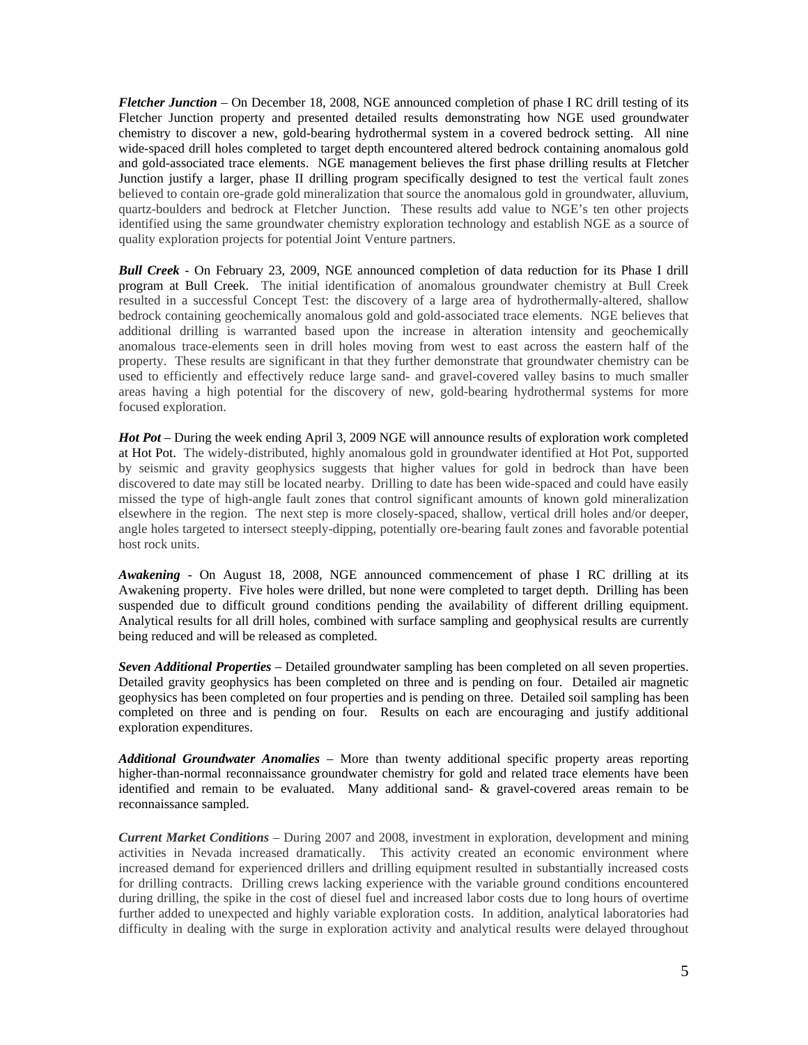*Fletcher Junction* – On December 18, 2008, NGE announced completion of phase I RC drill testing of its Fletcher Junction property and presented detailed results demonstrating how NGE used groundwater chemistry to discover a new, gold-bearing hydrothermal system in a covered bedrock setting. All nine wide-spaced drill holes completed to target depth encountered altered bedrock containing anomalous gold and gold-associated trace elements. NGE management believes the first phase drilling results at Fletcher Junction justify a larger, phase II drilling program specifically designed to test the vertical fault zones believed to contain ore-grade gold mineralization that source the anomalous gold in groundwater, alluvium, quartz-boulders and bedrock at Fletcher Junction. These results add value to NGE's ten other projects identified using the same groundwater chemistry exploration technology and establish NGE as a source of quality exploration projects for potential Joint Venture partners.

*Bull Creek* - On February 23, 2009, NGE announced completion of data reduction for its Phase I drill program at Bull Creek. The initial identification of anomalous groundwater chemistry at Bull Creek resulted in a successful Concept Test: the discovery of a large area of hydrothermally-altered, shallow bedrock containing geochemically anomalous gold and gold-associated trace elements. NGE believes that additional drilling is warranted based upon the increase in alteration intensity and geochemically anomalous trace-elements seen in drill holes moving from west to east across the eastern half of the property. These results are significant in that they further demonstrate that groundwater chemistry can be used to efficiently and effectively reduce large sand- and gravel-covered valley basins to much smaller areas having a high potential for the discovery of new, gold-bearing hydrothermal systems for more focused exploration.

*Hot Pot* – During the week ending April 3, 2009 NGE will announce results of exploration work completed at Hot Pot. The widely-distributed, highly anomalous gold in groundwater identified at Hot Pot, supported by seismic and gravity geophysics suggests that higher values for gold in bedrock than have been discovered to date may still be located nearby. Drilling to date has been wide-spaced and could have easily missed the type of high-angle fault zones that control significant amounts of known gold mineralization elsewhere in the region. The next step is more closely-spaced, shallow, vertical drill holes and/or deeper, angle holes targeted to intersect steeply-dipping, potentially ore-bearing fault zones and favorable potential host rock units.

*Awakening* - On August 18, 2008, NGE announced commencement of phase I RC drilling at its Awakening property. Five holes were drilled, but none were completed to target depth. Drilling has been suspended due to difficult ground conditions pending the availability of different drilling equipment. Analytical results for all drill holes, combined with surface sampling and geophysical results are currently being reduced and will be released as completed.

*Seven Additional Properties* – Detailed groundwater sampling has been completed on all seven properties. Detailed gravity geophysics has been completed on three and is pending on four. Detailed air magnetic geophysics has been completed on four properties and is pending on three. Detailed soil sampling has been completed on three and is pending on four. Results on each are encouraging and justify additional exploration expenditures.

*Additional Groundwater Anomalies* – More than twenty additional specific property areas reporting higher-than-normal reconnaissance groundwater chemistry for gold and related trace elements have been identified and remain to be evaluated. Many additional sand- & gravel-covered areas remain to be reconnaissance sampled.

*Current Market Conditions* – During 2007 and 2008, investment in exploration, development and mining activities in Nevada increased dramatically. This activity created an economic environment where increased demand for experienced drillers and drilling equipment resulted in substantially increased costs for drilling contracts. Drilling crews lacking experience with the variable ground conditions encountered during drilling, the spike in the cost of diesel fuel and increased labor costs due to long hours of overtime further added to unexpected and highly variable exploration costs. In addition, analytical laboratories had difficulty in dealing with the surge in exploration activity and analytical results were delayed throughout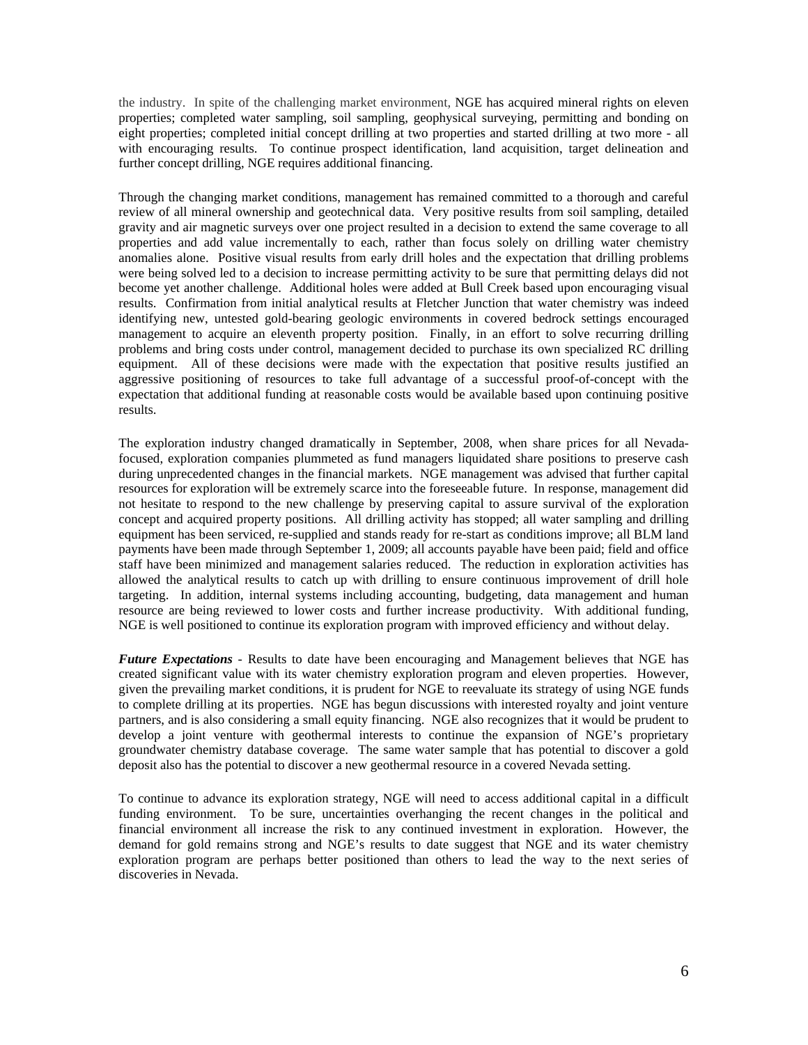the industry. In spite of the challenging market environment, NGE has acquired mineral rights on eleven properties; completed water sampling, soil sampling, geophysical surveying, permitting and bonding on eight properties; completed initial concept drilling at two properties and started drilling at two more - all with encouraging results. To continue prospect identification, land acquisition, target delineation and further concept drilling, NGE requires additional financing.

Through the changing market conditions, management has remained committed to a thorough and careful review of all mineral ownership and geotechnical data. Very positive results from soil sampling, detailed gravity and air magnetic surveys over one project resulted in a decision to extend the same coverage to all properties and add value incrementally to each, rather than focus solely on drilling water chemistry anomalies alone. Positive visual results from early drill holes and the expectation that drilling problems were being solved led to a decision to increase permitting activity to be sure that permitting delays did not become yet another challenge. Additional holes were added at Bull Creek based upon encouraging visual results. Confirmation from initial analytical results at Fletcher Junction that water chemistry was indeed identifying new, untested gold-bearing geologic environments in covered bedrock settings encouraged management to acquire an eleventh property position. Finally, in an effort to solve recurring drilling problems and bring costs under control, management decided to purchase its own specialized RC drilling equipment. All of these decisions were made with the expectation that positive results justified an aggressive positioning of resources to take full advantage of a successful proof-of-concept with the expectation that additional funding at reasonable costs would be available based upon continuing positive results.

The exploration industry changed dramatically in September, 2008, when share prices for all Nevadafocused, exploration companies plummeted as fund managers liquidated share positions to preserve cash during unprecedented changes in the financial markets. NGE management was advised that further capital resources for exploration will be extremely scarce into the foreseeable future. In response, management did not hesitate to respond to the new challenge by preserving capital to assure survival of the exploration concept and acquired property positions. All drilling activity has stopped; all water sampling and drilling equipment has been serviced, re-supplied and stands ready for re-start as conditions improve; all BLM land payments have been made through September 1, 2009; all accounts payable have been paid; field and office staff have been minimized and management salaries reduced. The reduction in exploration activities has allowed the analytical results to catch up with drilling to ensure continuous improvement of drill hole targeting. In addition, internal systems including accounting, budgeting, data management and human resource are being reviewed to lower costs and further increase productivity. With additional funding, NGE is well positioned to continue its exploration program with improved efficiency and without delay.

*Future Expectations* - Results to date have been encouraging and Management believes that NGE has created significant value with its water chemistry exploration program and eleven properties. However, given the prevailing market conditions, it is prudent for NGE to reevaluate its strategy of using NGE funds to complete drilling at its properties. NGE has begun discussions with interested royalty and joint venture partners, and is also considering a small equity financing. NGE also recognizes that it would be prudent to develop a joint venture with geothermal interests to continue the expansion of NGE's proprietary groundwater chemistry database coverage. The same water sample that has potential to discover a gold deposit also has the potential to discover a new geothermal resource in a covered Nevada setting.

To continue to advance its exploration strategy, NGE will need to access additional capital in a difficult funding environment. To be sure, uncertainties overhanging the recent changes in the political and financial environment all increase the risk to any continued investment in exploration. However, the demand for gold remains strong and NGE's results to date suggest that NGE and its water chemistry exploration program are perhaps better positioned than others to lead the way to the next series of discoveries in Nevada.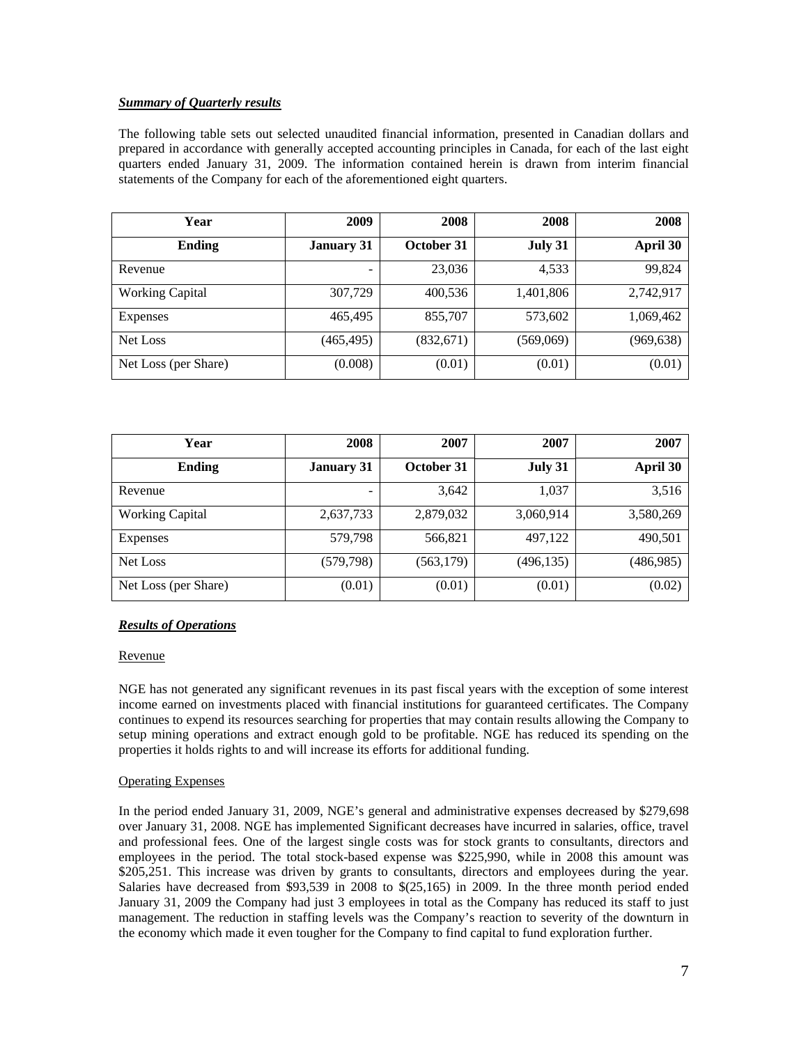# *Summary of Quarterly results*

The following table sets out selected unaudited financial information, presented in Canadian dollars and prepared in accordance with generally accepted accounting principles in Canada, for each of the last eight quarters ended January 31, 2009. The information contained herein is drawn from interim financial statements of the Company for each of the aforementioned eight quarters.

| Year                   | 2009              | 2008       | 2008      | 2008      |
|------------------------|-------------------|------------|-----------|-----------|
| Ending                 | <b>January 31</b> | October 31 | July 31   | April 30  |
| Revenue                |                   | 23,036     | 4,533     | 99,824    |
| <b>Working Capital</b> | 307,729           | 400,536    | 1,401,806 | 2,742,917 |
| Expenses               | 465,495           | 855,707    | 573,602   | 1,069,462 |
| Net Loss               | (465, 495)        | (832,671)  | (569,069) | (969,638) |
| Net Loss (per Share)   | (0.008)           | (0.01)     | (0.01)    | (0.01)    |

| Year                   | 2008              | 2007       | 2007       | 2007       |
|------------------------|-------------------|------------|------------|------------|
| <b>Ending</b>          | <b>January 31</b> | October 31 | July 31    | April 30   |
| Revenue                |                   | 3,642      | 1,037      | 3,516      |
| <b>Working Capital</b> | 2,637,733         | 2,879,032  | 3,060,914  | 3,580,269  |
| Expenses               | 579,798           | 566,821    | 497,122    | 490,501    |
| Net Loss               | (579, 798)        | (563, 179) | (496, 135) | (486, 985) |
| Net Loss (per Share)   | (0.01)            | (0.01)     | (0.01)     | (0.02)     |

## *Results of Operations*

## Revenue

NGE has not generated any significant revenues in its past fiscal years with the exception of some interest income earned on investments placed with financial institutions for guaranteed certificates. The Company continues to expend its resources searching for properties that may contain results allowing the Company to setup mining operations and extract enough gold to be profitable. NGE has reduced its spending on the properties it holds rights to and will increase its efforts for additional funding.

## Operating Expenses

In the period ended January 31, 2009, NGE's general and administrative expenses decreased by \$279,698 over January 31, 2008. NGE has implemented Significant decreases have incurred in salaries, office, travel and professional fees. One of the largest single costs was for stock grants to consultants, directors and employees in the period. The total stock-based expense was \$225,990, while in 2008 this amount was \$205,251. This increase was driven by grants to consultants, directors and employees during the year. Salaries have decreased from \$93,539 in 2008 to \$(25,165) in 2009. In the three month period ended January 31, 2009 the Company had just 3 employees in total as the Company has reduced its staff to just management. The reduction in staffing levels was the Company's reaction to severity of the downturn in the economy which made it even tougher for the Company to find capital to fund exploration further.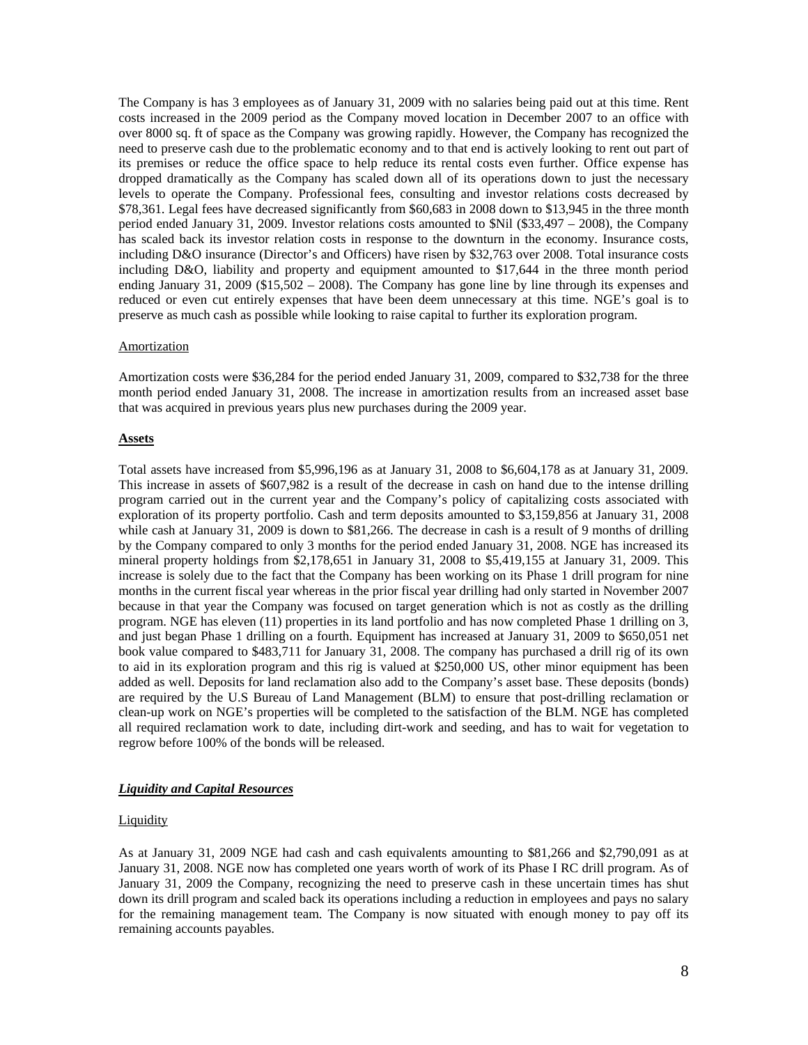The Company is has 3 employees as of January 31, 2009 with no salaries being paid out at this time. Rent costs increased in the 2009 period as the Company moved location in December 2007 to an office with over 8000 sq. ft of space as the Company was growing rapidly. However, the Company has recognized the need to preserve cash due to the problematic economy and to that end is actively looking to rent out part of its premises or reduce the office space to help reduce its rental costs even further. Office expense has dropped dramatically as the Company has scaled down all of its operations down to just the necessary levels to operate the Company. Professional fees, consulting and investor relations costs decreased by \$78,361. Legal fees have decreased significantly from \$60,683 in 2008 down to \$13,945 in the three month period ended January 31, 2009. Investor relations costs amounted to \$Nil (\$33,497 – 2008), the Company has scaled back its investor relation costs in response to the downturn in the economy. Insurance costs, including D&O insurance (Director's and Officers) have risen by \$32,763 over 2008. Total insurance costs including D&O, liability and property and equipment amounted to \$17,644 in the three month period ending January 31, 2009 (\$15,502 – 2008). The Company has gone line by line through its expenses and reduced or even cut entirely expenses that have been deem unnecessary at this time. NGE's goal is to preserve as much cash as possible while looking to raise capital to further its exploration program.

#### Amortization

Amortization costs were \$36,284 for the period ended January 31, 2009, compared to \$32,738 for the three month period ended January 31, 2008. The increase in amortization results from an increased asset base that was acquired in previous years plus new purchases during the 2009 year.

#### **Assets**

Total assets have increased from \$5,996,196 as at January 31, 2008 to \$6,604,178 as at January 31, 2009. This increase in assets of \$607,982 is a result of the decrease in cash on hand due to the intense drilling program carried out in the current year and the Company's policy of capitalizing costs associated with exploration of its property portfolio. Cash and term deposits amounted to \$3,159,856 at January 31, 2008 while cash at January 31, 2009 is down to \$81,266. The decrease in cash is a result of 9 months of drilling by the Company compared to only 3 months for the period ended January 31, 2008. NGE has increased its mineral property holdings from \$2,178,651 in January 31, 2008 to \$5,419,155 at January 31, 2009. This increase is solely due to the fact that the Company has been working on its Phase 1 drill program for nine months in the current fiscal year whereas in the prior fiscal year drilling had only started in November 2007 because in that year the Company was focused on target generation which is not as costly as the drilling program. NGE has eleven (11) properties in its land portfolio and has now completed Phase 1 drilling on 3, and just began Phase 1 drilling on a fourth. Equipment has increased at January 31, 2009 to \$650,051 net book value compared to \$483,711 for January 31, 2008. The company has purchased a drill rig of its own to aid in its exploration program and this rig is valued at \$250,000 US, other minor equipment has been added as well. Deposits for land reclamation also add to the Company's asset base. These deposits (bonds) are required by the U.S Bureau of Land Management (BLM) to ensure that post-drilling reclamation or clean-up work on NGE's properties will be completed to the satisfaction of the BLM. NGE has completed all required reclamation work to date, including dirt-work and seeding, and has to wait for vegetation to regrow before 100% of the bonds will be released.

#### *Liquidity and Capital Resources*

## **Liquidity**

As at January 31, 2009 NGE had cash and cash equivalents amounting to \$81,266 and \$2,790,091 as at January 31, 2008. NGE now has completed one years worth of work of its Phase I RC drill program. As of January 31, 2009 the Company, recognizing the need to preserve cash in these uncertain times has shut down its drill program and scaled back its operations including a reduction in employees and pays no salary for the remaining management team. The Company is now situated with enough money to pay off its remaining accounts payables.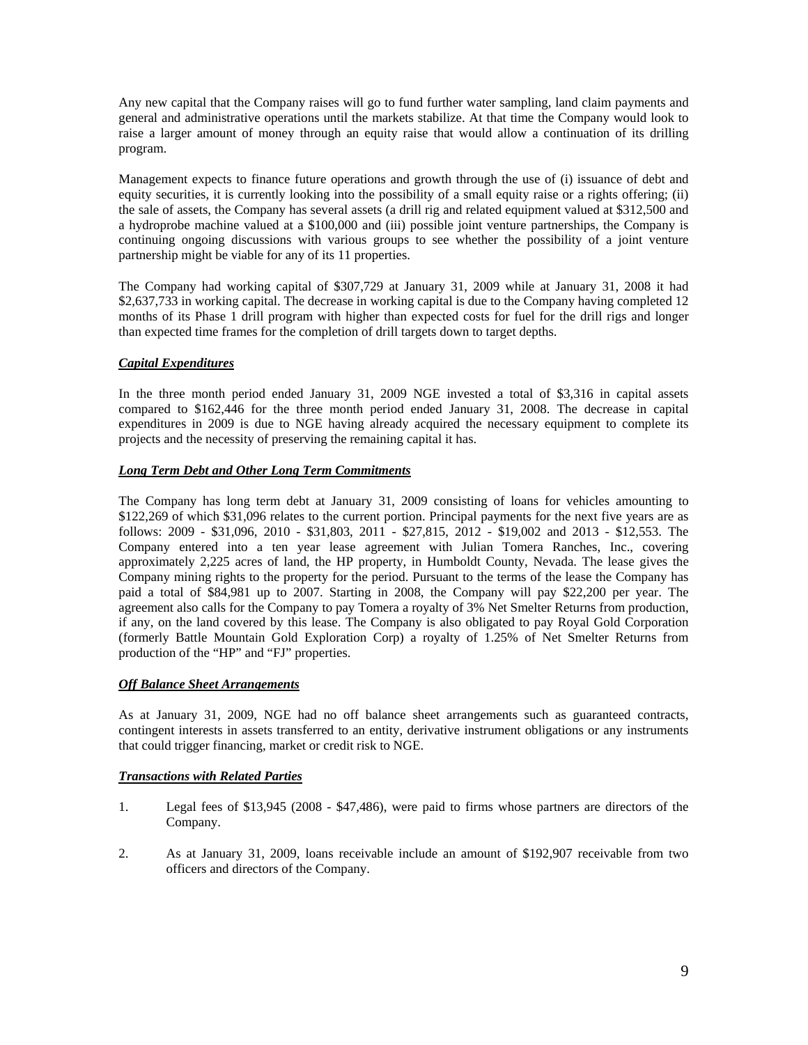Any new capital that the Company raises will go to fund further water sampling, land claim payments and general and administrative operations until the markets stabilize. At that time the Company would look to raise a larger amount of money through an equity raise that would allow a continuation of its drilling program.

Management expects to finance future operations and growth through the use of (i) issuance of debt and equity securities, it is currently looking into the possibility of a small equity raise or a rights offering; (ii) the sale of assets, the Company has several assets (a drill rig and related equipment valued at \$312,500 and a hydroprobe machine valued at a \$100,000 and (iii) possible joint venture partnerships, the Company is continuing ongoing discussions with various groups to see whether the possibility of a joint venture partnership might be viable for any of its 11 properties.

The Company had working capital of \$307,729 at January 31, 2009 while at January 31, 2008 it had \$2,637,733 in working capital. The decrease in working capital is due to the Company having completed 12 months of its Phase 1 drill program with higher than expected costs for fuel for the drill rigs and longer than expected time frames for the completion of drill targets down to target depths.

# *Capital Expenditures*

In the three month period ended January 31, 2009 NGE invested a total of \$3,316 in capital assets compared to \$162,446 for the three month period ended January 31, 2008. The decrease in capital expenditures in 2009 is due to NGE having already acquired the necessary equipment to complete its projects and the necessity of preserving the remaining capital it has.

# *Long Term Debt and Other Long Term Commitments*

The Company has long term debt at January 31, 2009 consisting of loans for vehicles amounting to \$122,269 of which \$31,096 relates to the current portion. Principal payments for the next five years are as follows: 2009 - \$31,096, 2010 - \$31,803, 2011 - \$27,815, 2012 - \$19,002 and 2013 - \$12,553. The Company entered into a ten year lease agreement with Julian Tomera Ranches, Inc., covering approximately 2,225 acres of land, the HP property, in Humboldt County, Nevada. The lease gives the Company mining rights to the property for the period. Pursuant to the terms of the lease the Company has paid a total of \$84,981 up to 2007. Starting in 2008, the Company will pay \$22,200 per year. The agreement also calls for the Company to pay Tomera a royalty of 3% Net Smelter Returns from production, if any, on the land covered by this lease. The Company is also obligated to pay Royal Gold Corporation (formerly Battle Mountain Gold Exploration Corp) a royalty of 1.25% of Net Smelter Returns from production of the "HP" and "FJ" properties.

# *Off Balance Sheet Arrangements*

As at January 31, 2009, NGE had no off balance sheet arrangements such as guaranteed contracts, contingent interests in assets transferred to an entity, derivative instrument obligations or any instruments that could trigger financing, market or credit risk to NGE.

# *Transactions with Related Parties*

- 1. Legal fees of \$13,945 (2008 \$47,486), were paid to firms whose partners are directors of the Company.
- 2. As at January 31, 2009, loans receivable include an amount of \$192,907 receivable from two officers and directors of the Company.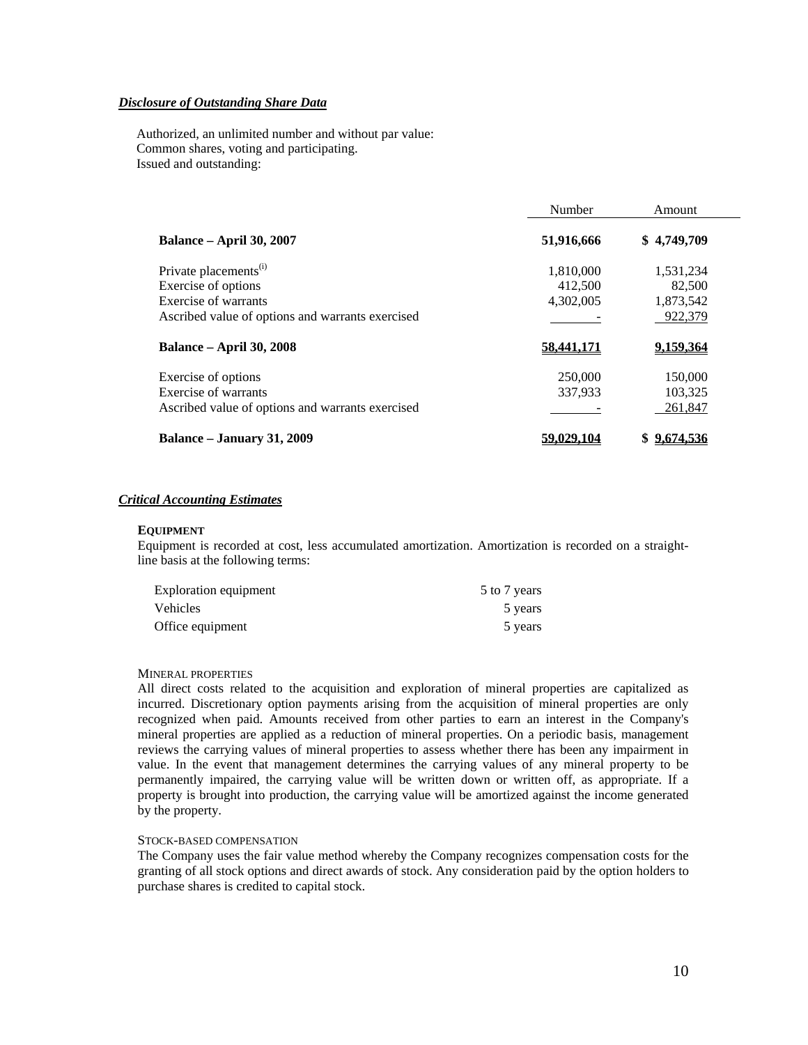# *Disclosure of Outstanding Share Data*

Authorized, an unlimited number and without par value: Common shares, voting and participating. Issued and outstanding:

|                                                                                                                                      | Number                            | Amount                                      |
|--------------------------------------------------------------------------------------------------------------------------------------|-----------------------------------|---------------------------------------------|
| <b>Balance – April 30, 2007</b>                                                                                                      | 51,916,666                        | \$4,749,709                                 |
| Private placements <sup>(i)</sup><br>Exercise of options<br>Exercise of warrants<br>Ascribed value of options and warrants exercised | 1,810,000<br>412,500<br>4,302,005 | 1,531,234<br>82,500<br>1,873,542<br>922,379 |
| <b>Balance – April 30, 2008</b>                                                                                                      | 58,441,171                        | 9.159.364                                   |
| Exercise of options<br>Exercise of warrants<br>Ascribed value of options and warrants exercised                                      | 250,000<br>337,933                | 150,000<br>103,325<br>261.847               |
| Balance – January 31, 2009                                                                                                           |                                   | 9.674.536                                   |

## *Critical Accounting Estimates*

## **EQUIPMENT**

Equipment is recorded at cost, less accumulated amortization. Amortization is recorded on a straightline basis at the following terms:

| <b>Exploration equipment</b> | 5 to 7 years |
|------------------------------|--------------|
| Vehicles                     | 5 years      |
| Office equipment             | 5 years      |

#### MINERAL PROPERTIES

All direct costs related to the acquisition and exploration of mineral properties are capitalized as incurred. Discretionary option payments arising from the acquisition of mineral properties are only recognized when paid. Amounts received from other parties to earn an interest in the Company's mineral properties are applied as a reduction of mineral properties. On a periodic basis, management reviews the carrying values of mineral properties to assess whether there has been any impairment in value. In the event that management determines the carrying values of any mineral property to be permanently impaired, the carrying value will be written down or written off, as appropriate. If a property is brought into production, the carrying value will be amortized against the income generated by the property.

#### STOCK-BASED COMPENSATION

The Company uses the fair value method whereby the Company recognizes compensation costs for the granting of all stock options and direct awards of stock. Any consideration paid by the option holders to purchase shares is credited to capital stock.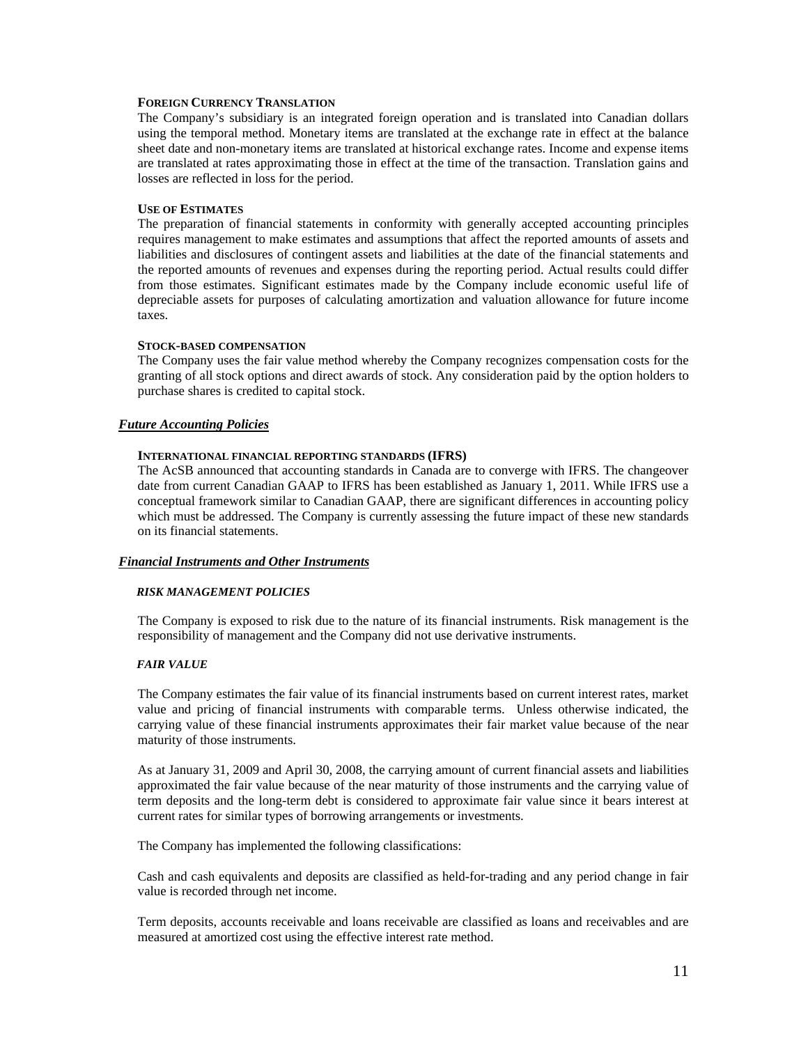## **FOREIGN CURRENCY TRANSLATION**

The Company's subsidiary is an integrated foreign operation and is translated into Canadian dollars using the temporal method. Monetary items are translated at the exchange rate in effect at the balance sheet date and non-monetary items are translated at historical exchange rates. Income and expense items are translated at rates approximating those in effect at the time of the transaction. Translation gains and losses are reflected in loss for the period.

## **USE OF ESTIMATES**

The preparation of financial statements in conformity with generally accepted accounting principles requires management to make estimates and assumptions that affect the reported amounts of assets and liabilities and disclosures of contingent assets and liabilities at the date of the financial statements and the reported amounts of revenues and expenses during the reporting period. Actual results could differ from those estimates. Significant estimates made by the Company include economic useful life of depreciable assets for purposes of calculating amortization and valuation allowance for future income taxes.

## **STOCK-BASED COMPENSATION**

The Company uses the fair value method whereby the Company recognizes compensation costs for the granting of all stock options and direct awards of stock. Any consideration paid by the option holders to purchase shares is credited to capital stock.

## *Future Accounting Policies*

#### **INTERNATIONAL FINANCIAL REPORTING STANDARDS (IFRS)**

The AcSB announced that accounting standards in Canada are to converge with IFRS. The changeover date from current Canadian GAAP to IFRS has been established as January 1, 2011. While IFRS use a conceptual framework similar to Canadian GAAP, there are significant differences in accounting policy which must be addressed. The Company is currently assessing the future impact of these new standards on its financial statements.

## *Financial Instruments and Other Instruments*

#### *RISK MANAGEMENT POLICIES*

The Company is exposed to risk due to the nature of its financial instruments. Risk management is the responsibility of management and the Company did not use derivative instruments.

## *FAIR VALUE*

The Company estimates the fair value of its financial instruments based on current interest rates, market value and pricing of financial instruments with comparable terms. Unless otherwise indicated, the carrying value of these financial instruments approximates their fair market value because of the near maturity of those instruments.

As at January 31, 2009 and April 30, 2008, the carrying amount of current financial assets and liabilities approximated the fair value because of the near maturity of those instruments and the carrying value of term deposits and the long-term debt is considered to approximate fair value since it bears interest at current rates for similar types of borrowing arrangements or investments.

The Company has implemented the following classifications:

Cash and cash equivalents and deposits are classified as held-for-trading and any period change in fair value is recorded through net income.

Term deposits, accounts receivable and loans receivable are classified as loans and receivables and are measured at amortized cost using the effective interest rate method.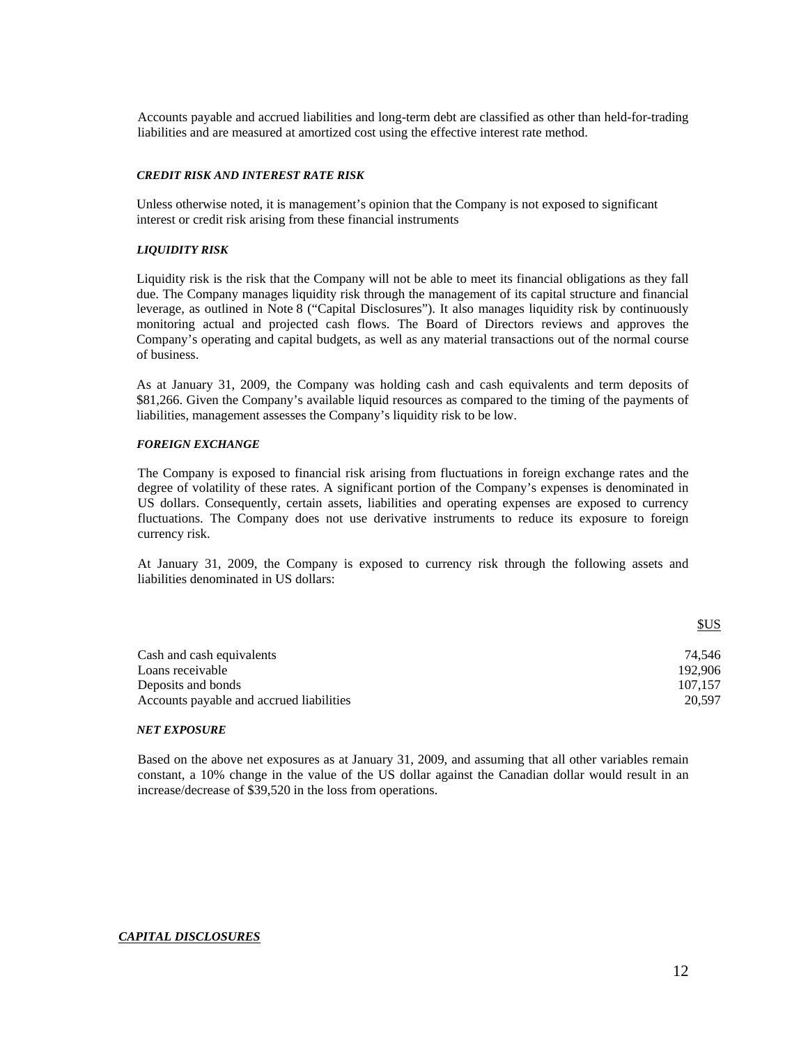Accounts payable and accrued liabilities and long-term debt are classified as other than held-for-trading liabilities and are measured at amortized cost using the effective interest rate method.

#### *CREDIT RISK AND INTEREST RATE RISK*

Unless otherwise noted, it is management's opinion that the Company is not exposed to significant interest or credit risk arising from these financial instruments

#### *LIQUIDITY RISK*

Liquidity risk is the risk that the Company will not be able to meet its financial obligations as they fall due. The Company manages liquidity risk through the management of its capital structure and financial leverage, as outlined in Note 8 ("Capital Disclosures"). It also manages liquidity risk by continuously monitoring actual and projected cash flows. The Board of Directors reviews and approves the Company's operating and capital budgets, as well as any material transactions out of the normal course of business.

As at January 31, 2009, the Company was holding cash and cash equivalents and term deposits of \$81,266. Given the Company's available liquid resources as compared to the timing of the payments of liabilities, management assesses the Company's liquidity risk to be low.

## *FOREIGN EXCHANGE*

The Company is exposed to financial risk arising from fluctuations in foreign exchange rates and the degree of volatility of these rates. A significant portion of the Company's expenses is denominated in US dollars. Consequently, certain assets, liabilities and operating expenses are exposed to currency fluctuations. The Company does not use derivative instruments to reduce its exposure to foreign currency risk.

At January 31, 2009, the Company is exposed to currency risk through the following assets and liabilities denominated in US dollars:

|                                          | \$US    |
|------------------------------------------|---------|
| Cash and cash equivalents                | 74.546  |
| Loans receivable                         | 192,906 |
| Deposits and bonds                       | 107.157 |
| Accounts payable and accrued liabilities | 20.597  |

#### *NET EXPOSURE*

Based on the above net exposures as at January 31, 2009, and assuming that all other variables remain constant, a 10% change in the value of the US dollar against the Canadian dollar would result in an increase/decrease of \$39,520 in the loss from operations.

#### *CAPITAL DISCLOSURES*